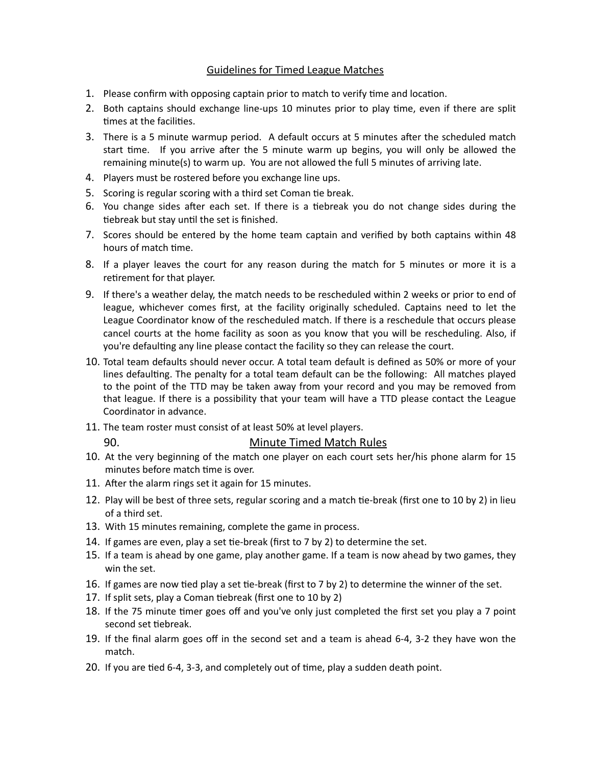## Guidelines for Timed League Matches

- 1. Please confirm with opposing captain prior to match to verify time and location.
- 2. Both captains should exchange line-ups 10 minutes prior to play time, even if there are split times at the facilities.
- 3. There is a 5 minute warmup period. A default occurs at 5 minutes after the scheduled match start time. If you arrive after the 5 minute warm up begins, you will only be allowed the remaining minute(s) to warm up. You are not allowed the full 5 minutes of arriving late.
- 4. Players must be rostered before you exchange line ups.
- 5. Scoring is regular scoring with a third set Coman tie break.
- 6. You change sides after each set. If there is a tiebreak you do not change sides during the tiebreak but stay until the set is finished.
- 7. Scores should be entered by the home team captain and verified by both captains within 48 hours of match time.
- 8. If a player leaves the court for any reason during the match for 5 minutes or more it is a retirement for that player.
- 9. If there's a weather delay, the match needs to be rescheduled within 2 weeks or prior to end of league, whichever comes first, at the facility originally scheduled. Captains need to let the League Coordinator know of the rescheduled match. If there is a reschedule that occurs please cancel courts at the home facility as soon as you know that you will be rescheduling. Also, if you're defaulting any line please contact the facility so they can release the court.
- 10. Total team defaults should never occur. A total team default is defined as 50% or more of your lines defaulting. The penalty for a total team default can be the following: All matches played to the point of the TTD may be taken away from your record and you may be removed from that league. If there is a possibility that your team will have a TTD please contact the League Coordinator in advance.
- 11. The team roster must consist of at least 50% at level players.

## 90. Minute Timed Match Rules

- 10. At the very beginning of the match one player on each court sets her/his phone alarm for 15 minutes before match time is over.
- 11. After the alarm rings set it again for 15 minutes.
- 12. Play will be best of three sets, regular scoring and a match tie-break (first one to 10 by 2) in lieu of a third set.
- 13. With 15 minutes remaining, complete the game in process.
- 14. If games are even, play a set tie-break (first to 7 by 2) to determine the set.
- 15. If a team is ahead by one game, play another game. If a team is now ahead by two games, they win the set.
- 16. If games are now tied play a set tie-break (first to 7 by 2) to determine the winner of the set.
- 17. If split sets, play a Coman tiebreak (first one to 10 by 2)
- 18. If the 75 minute timer goes off and you've only just completed the first set you play a 7 point second set tiebreak.
- 19. If the final alarm goes off in the second set and a team is ahead 6-4, 3-2 they have won the match.
- 20. If you are tied 6-4, 3-3, and completely out of time, play a sudden death point.